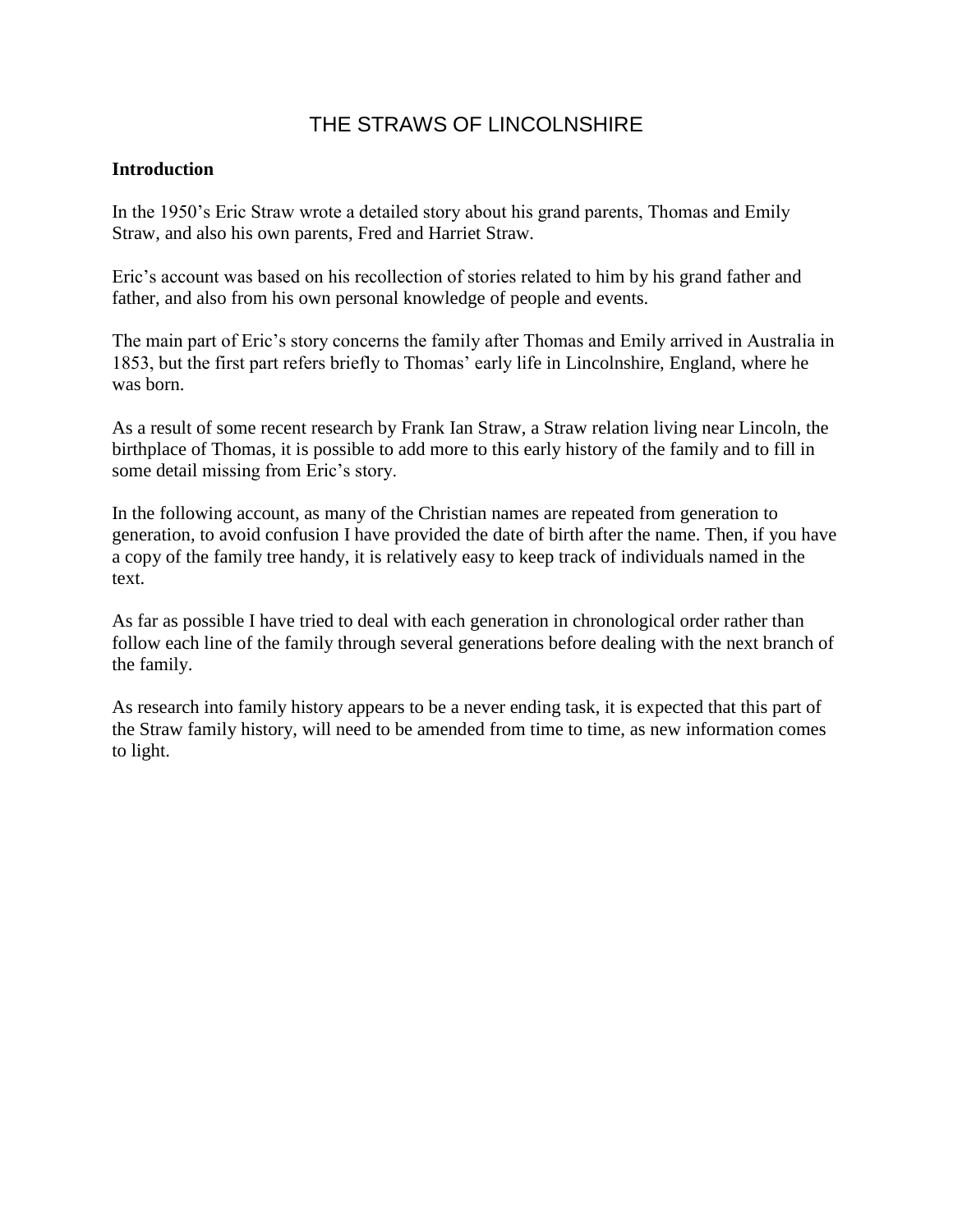# THE STRAWS OF LINCOLNSHIRE

## **Introduction**

In the 1950's Eric Straw wrote a detailed story about his grand parents, Thomas and Emily Straw, and also his own parents, Fred and Harriet Straw.

Eric's account was based on his recollection of stories related to him by his grand father and father, and also from his own personal knowledge of people and events.

The main part of Eric's story concerns the family after Thomas and Emily arrived in Australia in 1853, but the first part refers briefly to Thomas' early life in Lincolnshire, England, where he was born.

As a result of some recent research by Frank Ian Straw, a Straw relation living near Lincoln, the birthplace of Thomas, it is possible to add more to this early history of the family and to fill in some detail missing from Eric's story.

In the following account, as many of the Christian names are repeated from generation to generation, to avoid confusion I have provided the date of birth after the name. Then, if you have a copy of the family tree handy, it is relatively easy to keep track of individuals named in the text.

As far as possible I have tried to deal with each generation in chronological order rather than follow each line of the family through several generations before dealing with the next branch of the family.

As research into family history appears to be a never ending task, it is expected that this part of the Straw family history, will need to be amended from time to time, as new information comes to light.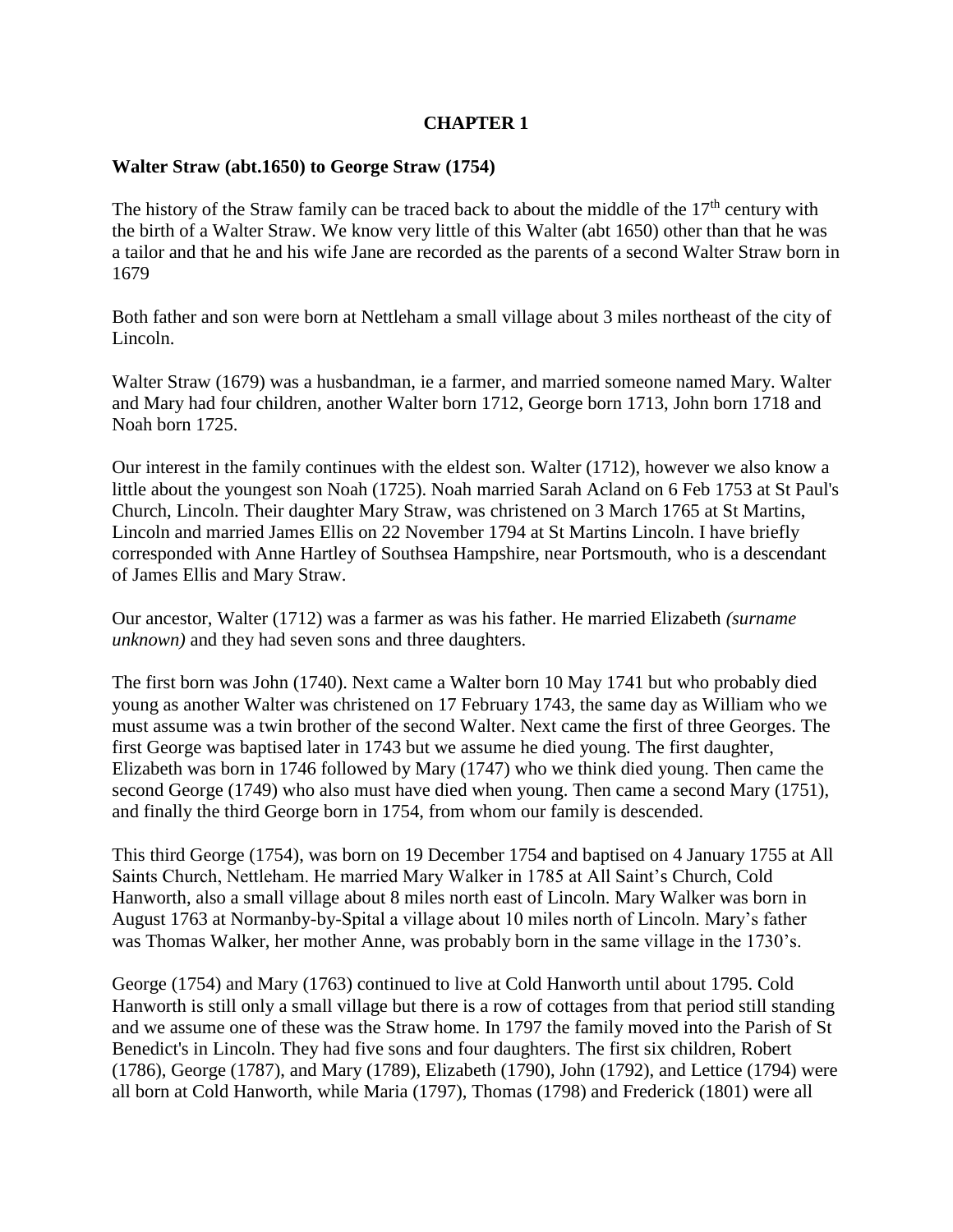# **CHAPTER 1**

## **Walter Straw (abt.1650) to George Straw (1754)**

The history of the Straw family can be traced back to about the middle of the  $17<sup>th</sup>$  century with the birth of a Walter Straw. We know very little of this Walter (abt 1650) other than that he was a tailor and that he and his wife Jane are recorded as the parents of a second Walter Straw born in 1679

Both father and son were born at Nettleham a small village about 3 miles northeast of the city of Lincoln.

Walter Straw (1679) was a husbandman, ie a farmer, and married someone named Mary. Walter and Mary had four children, another Walter born 1712, George born 1713, John born 1718 and Noah born 1725.

Our interest in the family continues with the eldest son. Walter (1712), however we also know a little about the youngest son Noah (1725). Noah married Sarah Acland on 6 Feb 1753 at St Paul's Church, Lincoln. Their daughter Mary Straw, was christened on 3 March 1765 at St Martins, Lincoln and married James Ellis on 22 November 1794 at St Martins Lincoln. I have briefly corresponded with Anne Hartley of Southsea Hampshire, near Portsmouth, who is a descendant of James Ellis and Mary Straw.

Our ancestor, Walter (1712) was a farmer as was his father. He married Elizabeth *(surname unknown)* and they had seven sons and three daughters.

The first born was John (1740). Next came a Walter born 10 May 1741 but who probably died young as another Walter was christened on 17 February 1743, the same day as William who we must assume was a twin brother of the second Walter. Next came the first of three Georges. The first George was baptised later in 1743 but we assume he died young. The first daughter, Elizabeth was born in 1746 followed by Mary (1747) who we think died young. Then came the second George (1749) who also must have died when young. Then came a second Mary (1751), and finally the third George born in 1754, from whom our family is descended.

This third George (1754), was born on 19 December 1754 and baptised on 4 January 1755 at All Saints Church, Nettleham. He married Mary Walker in 1785 at All Saint's Church, Cold Hanworth, also a small village about 8 miles north east of Lincoln. Mary Walker was born in August 1763 at Normanby-by-Spital a village about 10 miles north of Lincoln. Mary's father was Thomas Walker, her mother Anne, was probably born in the same village in the 1730's.

George (1754) and Mary (1763) continued to live at Cold Hanworth until about 1795. Cold Hanworth is still only a small village but there is a row of cottages from that period still standing and we assume one of these was the Straw home. In 1797 the family moved into the Parish of St Benedict's in Lincoln. They had five sons and four daughters. The first six children, Robert (1786), George (1787), and Mary (1789), Elizabeth (1790), John (1792), and Lettice (1794) were all born at Cold Hanworth, while Maria (1797), Thomas (1798) and Frederick (1801) were all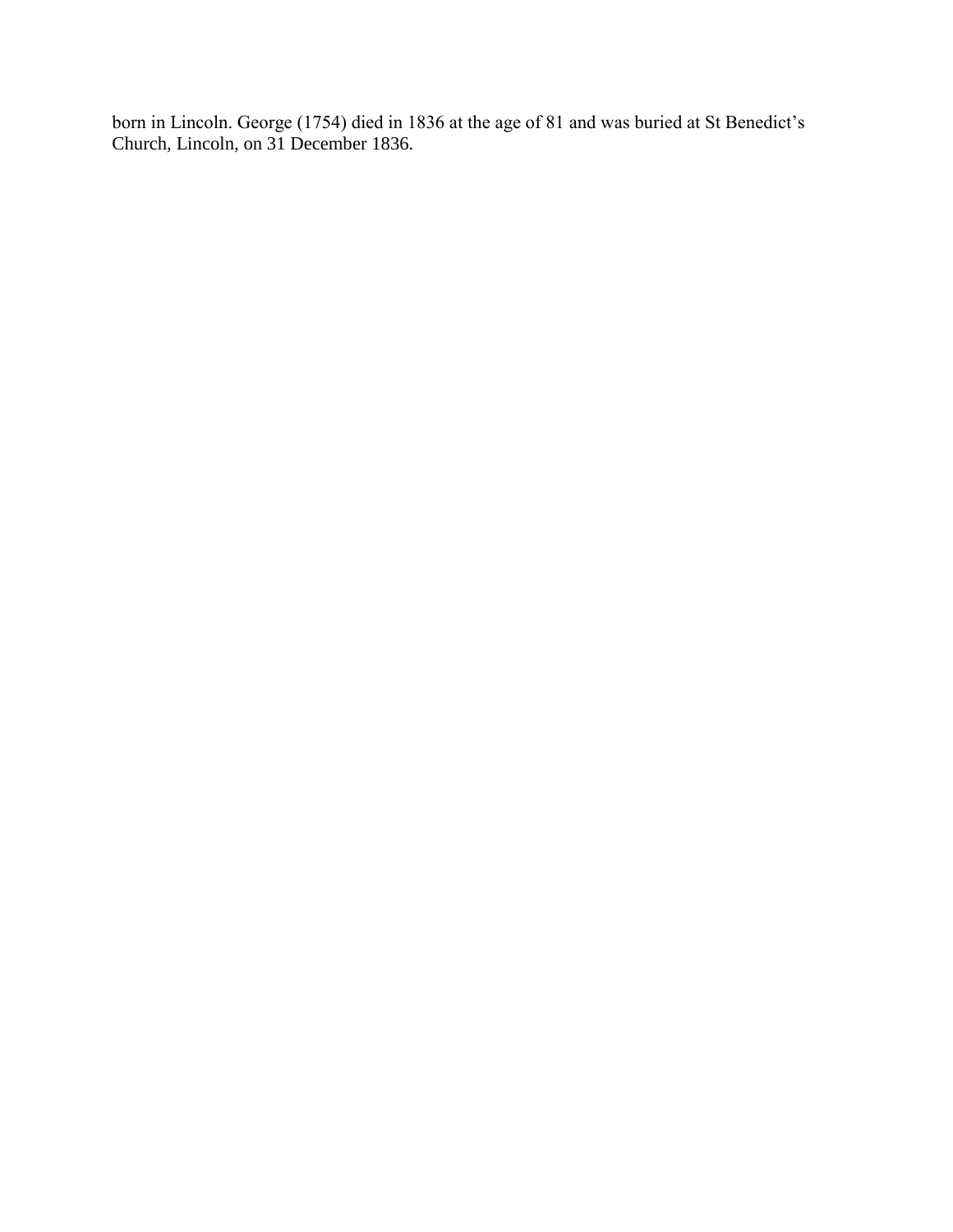born in Lincoln. George (1754) died in 1836 at the age of 81 and was buried at St Benedict's Church, Lincoln, on 31 December 1836.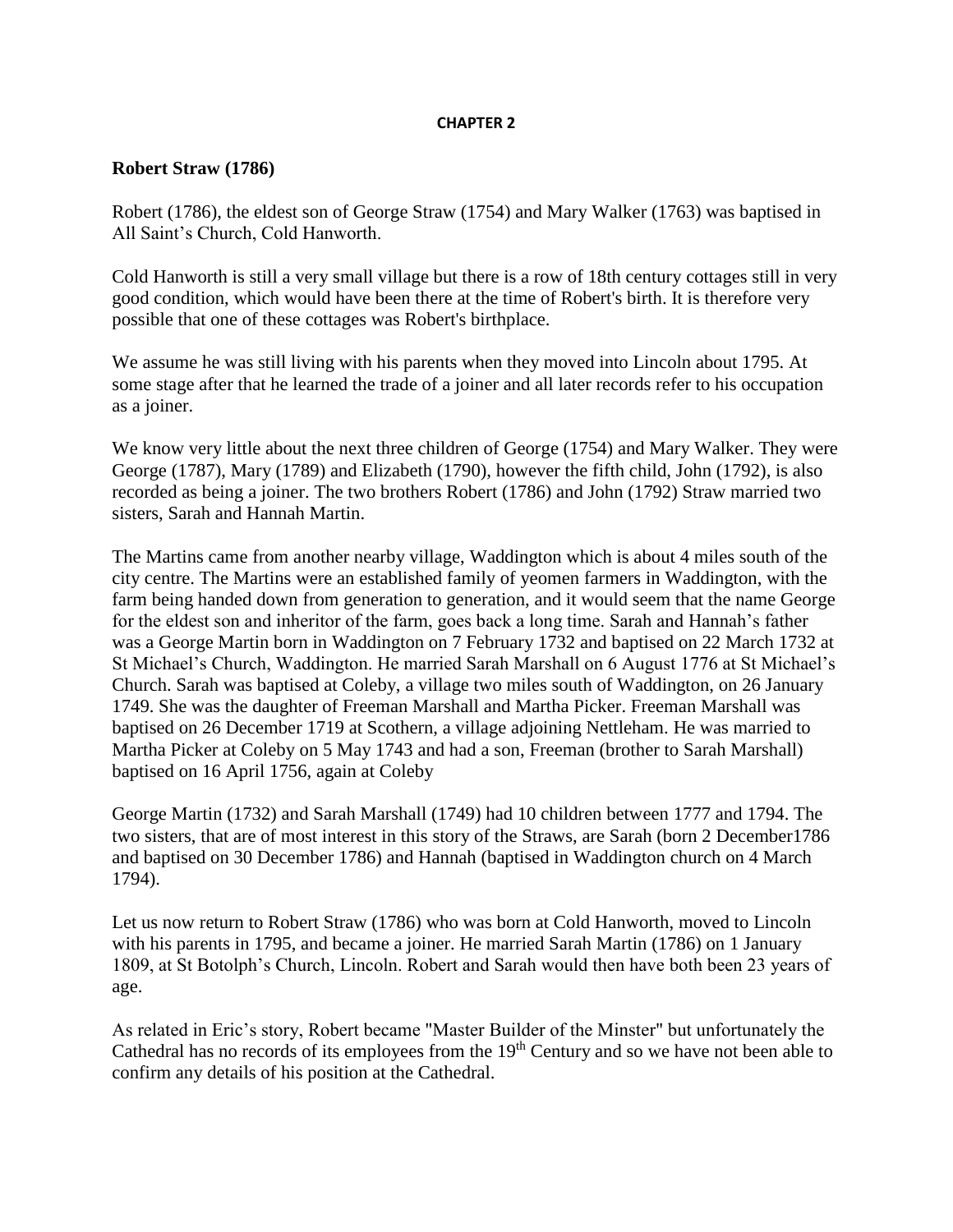#### **CHAPTER 2**

### **Robert Straw (1786)**

Robert (1786), the eldest son of George Straw (1754) and Mary Walker (1763) was baptised in All Saint's Church, Cold Hanworth.

Cold Hanworth is still a very small village but there is a row of 18th century cottages still in very good condition, which would have been there at the time of Robert's birth. It is therefore very possible that one of these cottages was Robert's birthplace.

We assume he was still living with his parents when they moved into Lincoln about 1795. At some stage after that he learned the trade of a joiner and all later records refer to his occupation as a joiner.

We know very little about the next three children of George (1754) and Mary Walker. They were George (1787), Mary (1789) and Elizabeth (1790), however the fifth child, John (1792), is also recorded as being a joiner. The two brothers Robert (1786) and John (1792) Straw married two sisters, Sarah and Hannah Martin.

The Martins came from another nearby village, Waddington which is about 4 miles south of the city centre. The Martins were an established family of yeomen farmers in Waddington, with the farm being handed down from generation to generation, and it would seem that the name George for the eldest son and inheritor of the farm, goes back a long time. Sarah and Hannah's father was a George Martin born in Waddington on 7 February 1732 and baptised on 22 March 1732 at St Michael's Church, Waddington. He married Sarah Marshall on 6 August 1776 at St Michael's Church. Sarah was baptised at Coleby, a village two miles south of Waddington, on 26 January 1749. She was the daughter of Freeman Marshall and Martha Picker. Freeman Marshall was baptised on 26 December 1719 at Scothern, a village adjoining Nettleham. He was married to Martha Picker at Coleby on 5 May 1743 and had a son, Freeman (brother to Sarah Marshall) baptised on 16 April 1756, again at Coleby

George Martin (1732) and Sarah Marshall (1749) had 10 children between 1777 and 1794. The two sisters, that are of most interest in this story of the Straws, are Sarah (born 2 December1786 and baptised on 30 December 1786) and Hannah (baptised in Waddington church on 4 March 1794).

Let us now return to Robert Straw (1786) who was born at Cold Hanworth, moved to Lincoln with his parents in 1795, and became a joiner. He married Sarah Martin (1786) on 1 January 1809, at St Botolph's Church, Lincoln. Robert and Sarah would then have both been 23 years of age.

As related in Eric's story, Robert became "Master Builder of the Minster" but unfortunately the Cathedral has no records of its employees from the 19<sup>th</sup> Century and so we have not been able to confirm any details of his position at the Cathedral.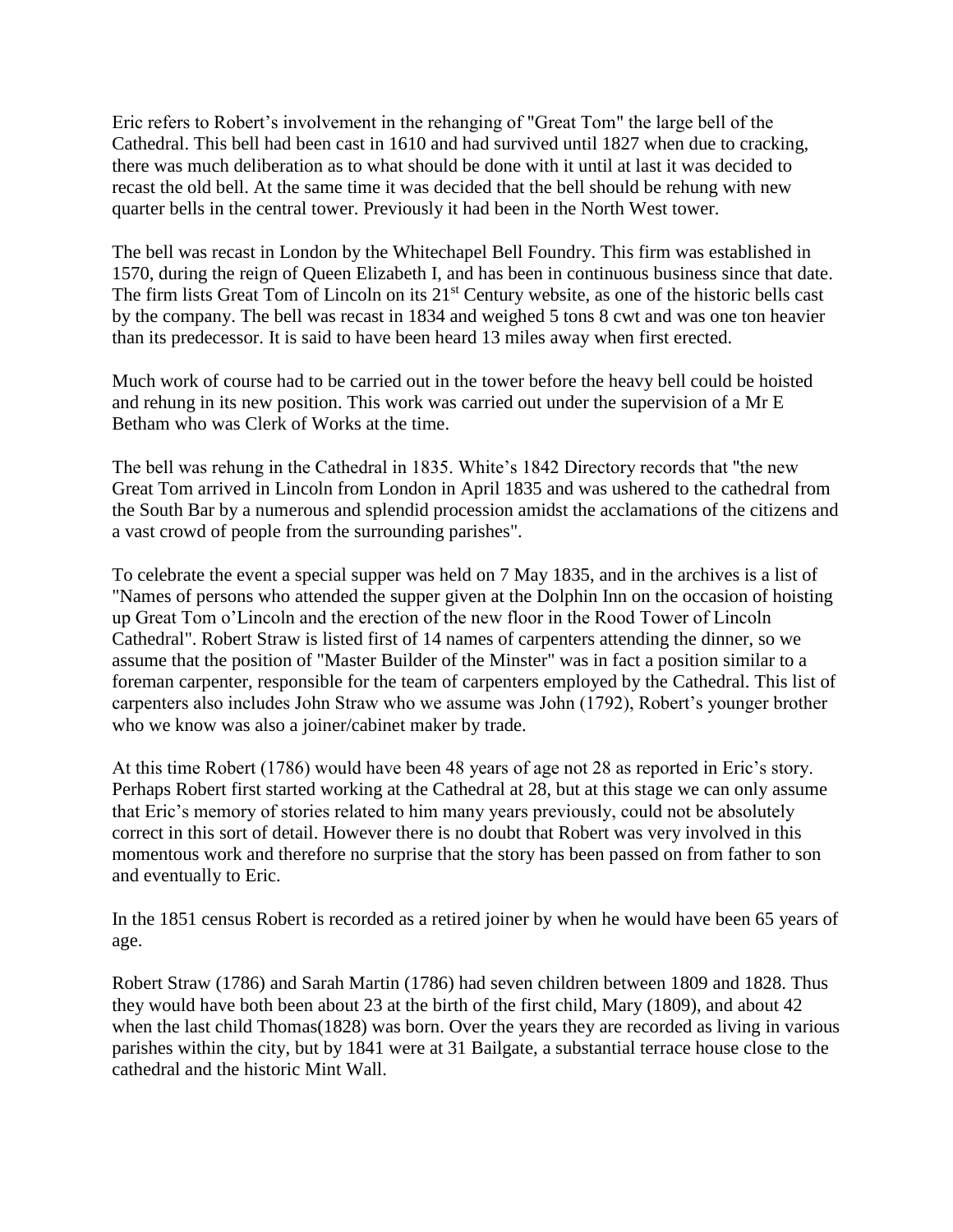Eric refers to Robert's involvement in the rehanging of "Great Tom" the large bell of the Cathedral. This bell had been cast in 1610 and had survived until 1827 when due to cracking, there was much deliberation as to what should be done with it until at last it was decided to recast the old bell. At the same time it was decided that the bell should be rehung with new quarter bells in the central tower. Previously it had been in the North West tower.

The bell was recast in London by the Whitechapel Bell Foundry. This firm was established in 1570, during the reign of Queen Elizabeth I, and has been in continuous business since that date. The firm lists Great Tom of Lincoln on its 21<sup>st</sup> Century website, as one of the historic bells cast by the company. The bell was recast in 1834 and weighed 5 tons 8 cwt and was one ton heavier than its predecessor. It is said to have been heard 13 miles away when first erected.

Much work of course had to be carried out in the tower before the heavy bell could be hoisted and rehung in its new position. This work was carried out under the supervision of a Mr E Betham who was Clerk of Works at the time.

The bell was rehung in the Cathedral in 1835. White's 1842 Directory records that "the new Great Tom arrived in Lincoln from London in April 1835 and was ushered to the cathedral from the South Bar by a numerous and splendid procession amidst the acclamations of the citizens and a vast crowd of people from the surrounding parishes".

To celebrate the event a special supper was held on 7 May 1835, and in the archives is a list of "Names of persons who attended the supper given at the Dolphin Inn on the occasion of hoisting up Great Tom o'Lincoln and the erection of the new floor in the Rood Tower of Lincoln Cathedral". Robert Straw is listed first of 14 names of carpenters attending the dinner, so we assume that the position of "Master Builder of the Minster" was in fact a position similar to a foreman carpenter, responsible for the team of carpenters employed by the Cathedral. This list of carpenters also includes John Straw who we assume was John (1792), Robert's younger brother who we know was also a joiner/cabinet maker by trade.

At this time Robert (1786) would have been 48 years of age not 28 as reported in Eric's story. Perhaps Robert first started working at the Cathedral at 28, but at this stage we can only assume that Eric's memory of stories related to him many years previously, could not be absolutely correct in this sort of detail. However there is no doubt that Robert was very involved in this momentous work and therefore no surprise that the story has been passed on from father to son and eventually to Eric.

In the 1851 census Robert is recorded as a retired joiner by when he would have been 65 years of age.

Robert Straw (1786) and Sarah Martin (1786) had seven children between 1809 and 1828. Thus they would have both been about 23 at the birth of the first child, Mary (1809), and about 42 when the last child Thomas(1828) was born. Over the years they are recorded as living in various parishes within the city, but by 1841 were at 31 Bailgate, a substantial terrace house close to the cathedral and the historic Mint Wall.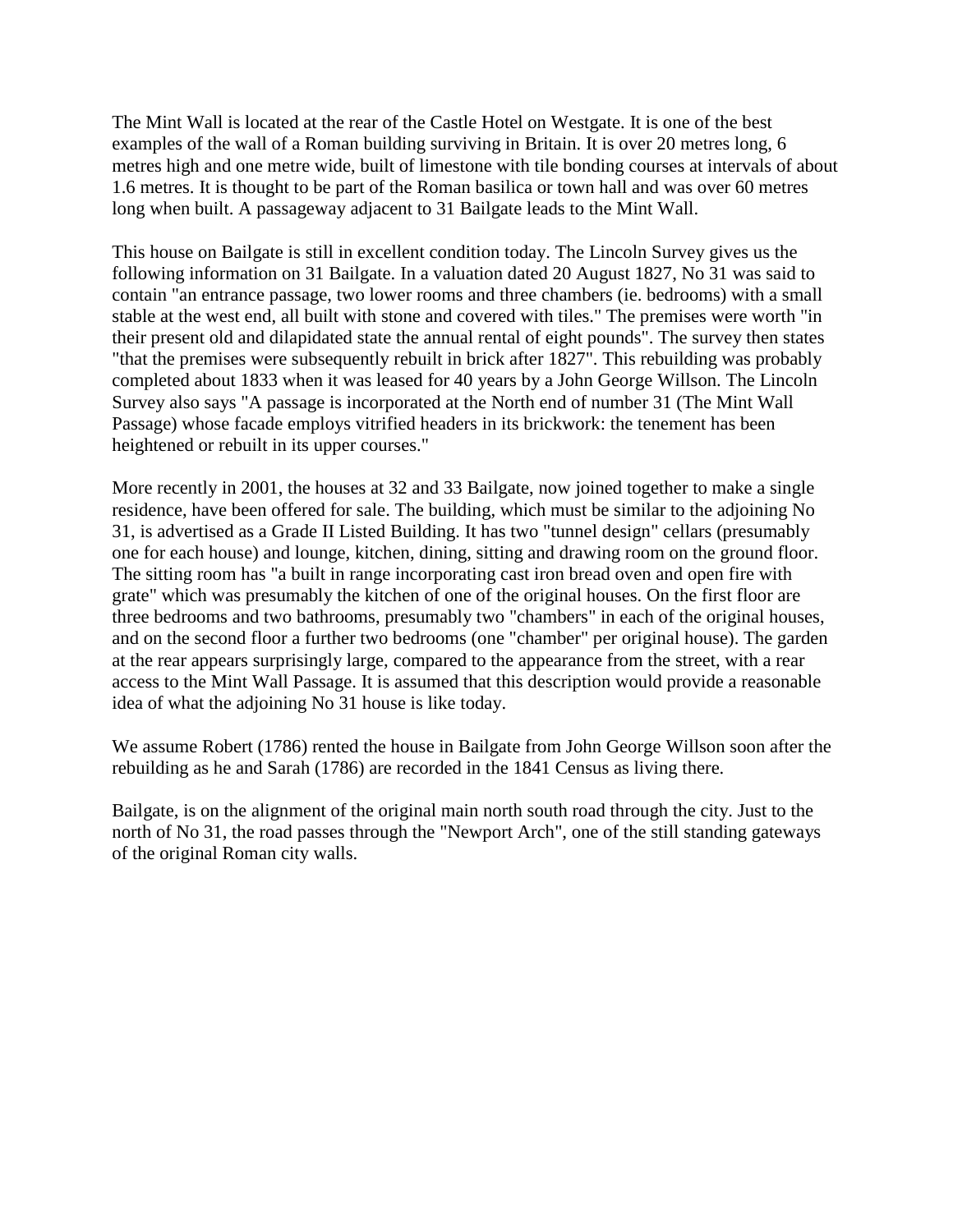The Mint Wall is located at the rear of the Castle Hotel on Westgate. It is one of the best examples of the wall of a Roman building surviving in Britain. It is over 20 metres long, 6 metres high and one metre wide, built of limestone with tile bonding courses at intervals of about 1.6 metres. It is thought to be part of the Roman basilica or town hall and was over 60 metres long when built. A passageway adjacent to 31 Bailgate leads to the Mint Wall.

This house on Bailgate is still in excellent condition today. The Lincoln Survey gives us the following information on 31 Bailgate. In a valuation dated 20 August 1827, No 31 was said to contain "an entrance passage, two lower rooms and three chambers (ie. bedrooms) with a small stable at the west end, all built with stone and covered with tiles." The premises were worth "in their present old and dilapidated state the annual rental of eight pounds". The survey then states "that the premises were subsequently rebuilt in brick after 1827". This rebuilding was probably completed about 1833 when it was leased for 40 years by a John George Willson. The Lincoln Survey also says "A passage is incorporated at the North end of number 31 (The Mint Wall Passage) whose facade employs vitrified headers in its brickwork: the tenement has been heightened or rebuilt in its upper courses."

More recently in 2001, the houses at 32 and 33 Bailgate, now joined together to make a single residence, have been offered for sale. The building, which must be similar to the adjoining No 31, is advertised as a Grade II Listed Building. It has two "tunnel design" cellars (presumably one for each house) and lounge, kitchen, dining, sitting and drawing room on the ground floor. The sitting room has "a built in range incorporating cast iron bread oven and open fire with grate" which was presumably the kitchen of one of the original houses. On the first floor are three bedrooms and two bathrooms, presumably two "chambers" in each of the original houses, and on the second floor a further two bedrooms (one "chamber" per original house). The garden at the rear appears surprisingly large, compared to the appearance from the street, with a rear access to the Mint Wall Passage. It is assumed that this description would provide a reasonable idea of what the adjoining No 31 house is like today.

We assume Robert (1786) rented the house in Bailgate from John George Willson soon after the rebuilding as he and Sarah (1786) are recorded in the 1841 Census as living there.

Bailgate, is on the alignment of the original main north south road through the city. Just to the north of No 31, the road passes through the "Newport Arch", one of the still standing gateways of the original Roman city walls.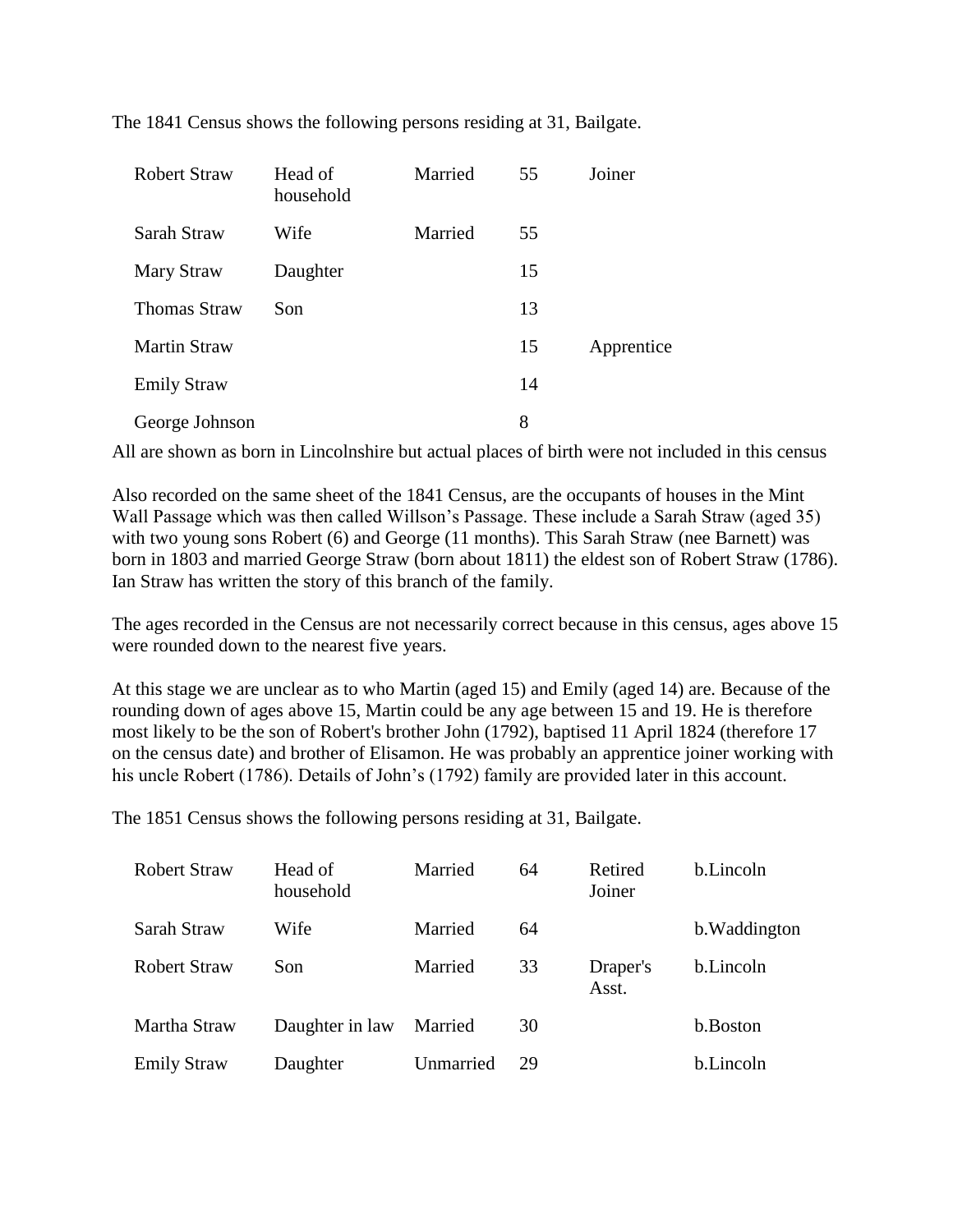| <b>Robert Straw</b> | Head of<br>household | Married | 55 | Joiner     |
|---------------------|----------------------|---------|----|------------|
| Sarah Straw         | Wife                 | Married | 55 |            |
| Mary Straw          | Daughter             |         | 15 |            |
| <b>Thomas Straw</b> | Son                  |         | 13 |            |
| <b>Martin Straw</b> |                      |         | 15 | Apprentice |
| <b>Emily Straw</b>  |                      |         | 14 |            |
| George Johnson      |                      |         | 8  |            |

The 1841 Census shows the following persons residing at 31, Bailgate.

All are shown as born in Lincolnshire but actual places of birth were not included in this census

Also recorded on the same sheet of the 1841 Census, are the occupants of houses in the Mint Wall Passage which was then called Willson's Passage. These include a Sarah Straw (aged 35) with two young sons Robert (6) and George (11 months). This Sarah Straw (nee Barnett) was born in 1803 and married George Straw (born about 1811) the eldest son of Robert Straw (1786). Ian Straw has written the story of this branch of the family.

The ages recorded in the Census are not necessarily correct because in this census, ages above 15 were rounded down to the nearest five years.

At this stage we are unclear as to who Martin (aged 15) and Emily (aged 14) are. Because of the rounding down of ages above 15, Martin could be any age between 15 and 19. He is therefore most likely to be the son of Robert's brother John (1792), baptised 11 April 1824 (therefore 17 on the census date) and brother of Elisamon. He was probably an apprentice joiner working with his uncle Robert (1786). Details of John's (1792) family are provided later in this account.

The 1851 Census shows the following persons residing at 31, Bailgate.

| <b>Robert Straw</b> | Head of<br>household | Married   | 64 | Retired<br>Joiner | b.Lincoln     |
|---------------------|----------------------|-----------|----|-------------------|---------------|
| Sarah Straw         | Wife                 | Married   | 64 |                   | b. Waddington |
| Robert Straw        | Son                  | Married   | 33 | Draper's<br>Asst. | b.Lincoln     |
| Martha Straw        | Daughter in law      | Married   | 30 |                   | b.Boston      |
| <b>Emily Straw</b>  | Daughter             | Unmarried | 29 |                   | b.Lincoln     |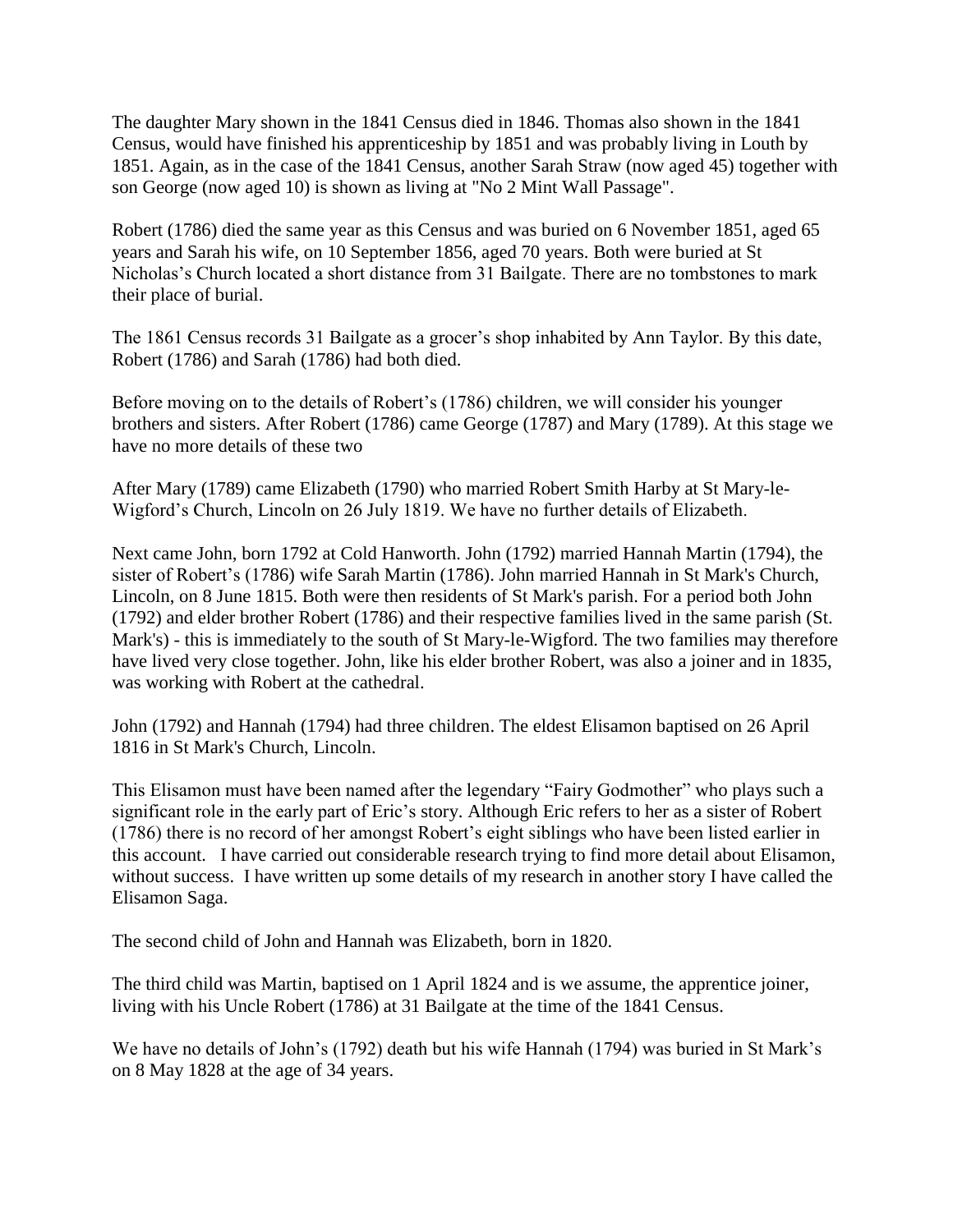The daughter Mary shown in the 1841 Census died in 1846. Thomas also shown in the 1841 Census, would have finished his apprenticeship by 1851 and was probably living in Louth by 1851. Again, as in the case of the 1841 Census, another Sarah Straw (now aged 45) together with son George (now aged 10) is shown as living at "No 2 Mint Wall Passage".

Robert (1786) died the same year as this Census and was buried on 6 November 1851, aged 65 years and Sarah his wife, on 10 September 1856, aged 70 years. Both were buried at St Nicholas's Church located a short distance from 31 Bailgate. There are no tombstones to mark their place of burial.

The 1861 Census records 31 Bailgate as a grocer's shop inhabited by Ann Taylor. By this date, Robert (1786) and Sarah (1786) had both died.

Before moving on to the details of Robert's (1786) children, we will consider his younger brothers and sisters. After Robert (1786) came George (1787) and Mary (1789). At this stage we have no more details of these two

After Mary (1789) came Elizabeth (1790) who married Robert Smith Harby at St Mary-le-Wigford's Church, Lincoln on 26 July 1819. We have no further details of Elizabeth.

Next came John, born 1792 at Cold Hanworth. John (1792) married Hannah Martin (1794), the sister of Robert's (1786) wife Sarah Martin (1786). John married Hannah in St Mark's Church, Lincoln, on 8 June 1815. Both were then residents of St Mark's parish. For a period both John (1792) and elder brother Robert (1786) and their respective families lived in the same parish (St. Mark's) - this is immediately to the south of St Mary-le-Wigford. The two families may therefore have lived very close together. John, like his elder brother Robert, was also a joiner and in 1835, was working with Robert at the cathedral.

John (1792) and Hannah (1794) had three children. The eldest Elisamon baptised on 26 April 1816 in St Mark's Church, Lincoln.

This Elisamon must have been named after the legendary "Fairy Godmother" who plays such a significant role in the early part of Eric's story. Although Eric refers to her as a sister of Robert (1786) there is no record of her amongst Robert's eight siblings who have been listed earlier in this account. I have carried out considerable research trying to find more detail about Elisamon, without success. I have written up some details of my research in another story I have called the Elisamon Saga.

The second child of John and Hannah was Elizabeth, born in 1820.

The third child was Martin, baptised on 1 April 1824 and is we assume, the apprentice joiner, living with his Uncle Robert (1786) at 31 Bailgate at the time of the 1841 Census.

We have no details of John's (1792) death but his wife Hannah (1794) was buried in St Mark's on 8 May 1828 at the age of 34 years.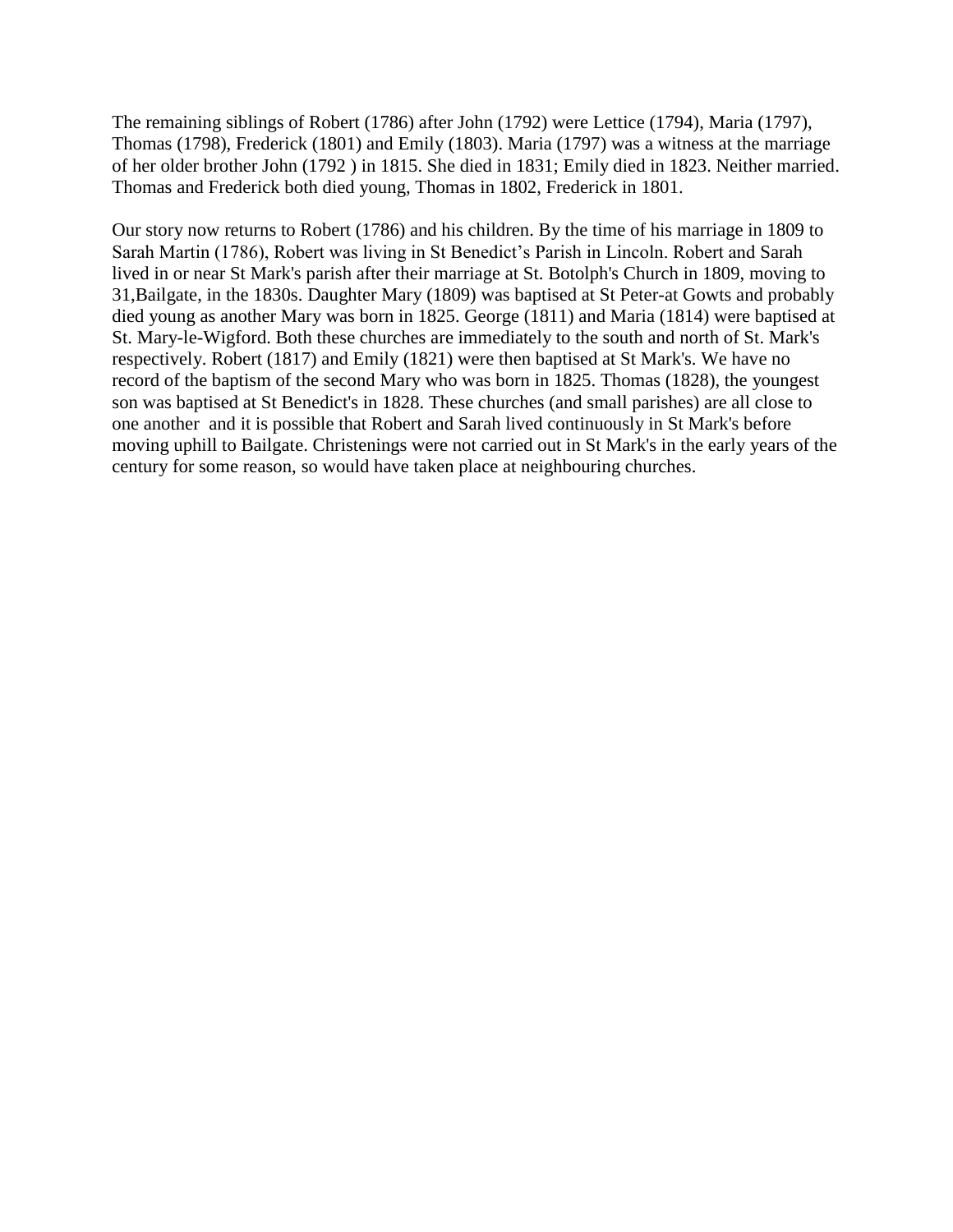The remaining siblings of Robert (1786) after John (1792) were Lettice (1794), Maria (1797), Thomas (1798), Frederick (1801) and Emily (1803). Maria (1797) was a witness at the marriage of her older brother John (1792 ) in 1815. She died in 1831; Emily died in 1823. Neither married. Thomas and Frederick both died young, Thomas in 1802, Frederick in 1801.

Our story now returns to Robert (1786) and his children. By the time of his marriage in 1809 to Sarah Martin (1786), Robert was living in St Benedict's Parish in Lincoln. Robert and Sarah lived in or near St Mark's parish after their marriage at St. Botolph's Church in 1809, moving to 31,Bailgate, in the 1830s. Daughter Mary (1809) was baptised at St Peter-at Gowts and probably died young as another Mary was born in 1825. George (1811) and Maria (1814) were baptised at St. Mary-le-Wigford. Both these churches are immediately to the south and north of St. Mark's respectively. Robert (1817) and Emily (1821) were then baptised at St Mark's. We have no record of the baptism of the second Mary who was born in 1825. Thomas (1828), the youngest son was baptised at St Benedict's in 1828. These churches (and small parishes) are all close to one another and it is possible that Robert and Sarah lived continuously in St Mark's before moving uphill to Bailgate. Christenings were not carried out in St Mark's in the early years of the century for some reason, so would have taken place at neighbouring churches.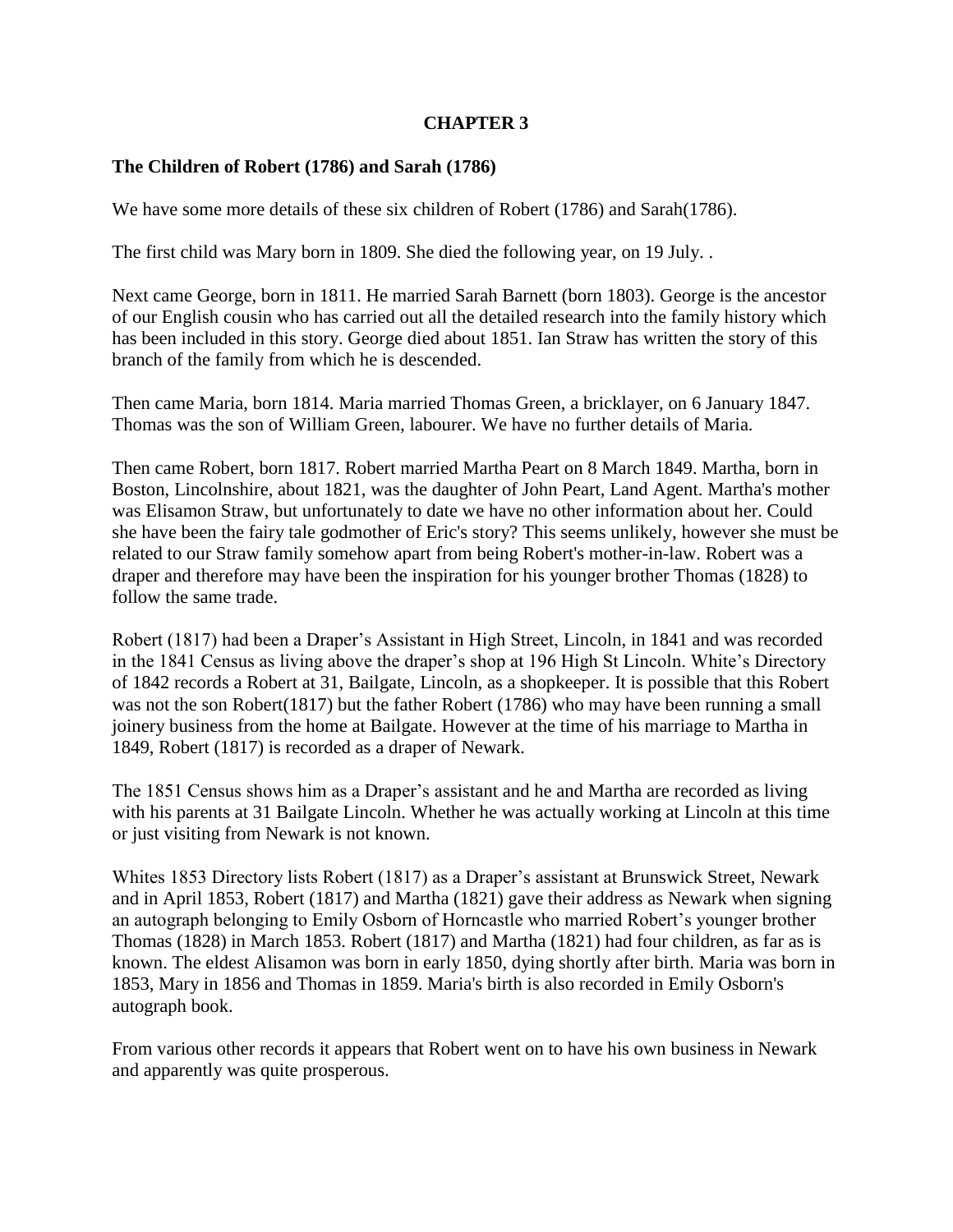# **CHAPTER 3**

# **The Children of Robert (1786) and Sarah (1786)**

We have some more details of these six children of Robert (1786) and Sarah(1786).

The first child was Mary born in 1809. She died the following year, on 19 July. .

Next came George, born in 1811. He married Sarah Barnett (born 1803). George is the ancestor of our English cousin who has carried out all the detailed research into the family history which has been included in this story. George died about 1851. Ian Straw has written the story of this branch of the family from which he is descended.

Then came Maria, born 1814. Maria married Thomas Green, a bricklayer, on 6 January 1847. Thomas was the son of William Green, labourer. We have no further details of Maria.

Then came Robert, born 1817. Robert married Martha Peart on 8 March 1849. Martha, born in Boston, Lincolnshire, about 1821, was the daughter of John Peart, Land Agent. Martha's mother was Elisamon Straw, but unfortunately to date we have no other information about her. Could she have been the fairy tale godmother of Eric's story? This seems unlikely, however she must be related to our Straw family somehow apart from being Robert's mother-in-law. Robert was a draper and therefore may have been the inspiration for his younger brother Thomas (1828) to follow the same trade.

Robert (1817) had been a Draper's Assistant in High Street, Lincoln, in 1841 and was recorded in the 1841 Census as living above the draper's shop at 196 High St Lincoln. White's Directory of 1842 records a Robert at 31, Bailgate, Lincoln, as a shopkeeper. It is possible that this Robert was not the son Robert(1817) but the father Robert (1786) who may have been running a small joinery business from the home at Bailgate. However at the time of his marriage to Martha in 1849, Robert (1817) is recorded as a draper of Newark.

The 1851 Census shows him as a Draper's assistant and he and Martha are recorded as living with his parents at 31 Bailgate Lincoln. Whether he was actually working at Lincoln at this time or just visiting from Newark is not known.

Whites 1853 Directory lists Robert (1817) as a Draper's assistant at Brunswick Street, Newark and in April 1853, Robert (1817) and Martha (1821) gave their address as Newark when signing an autograph belonging to Emily Osborn of Horncastle who married Robert's younger brother Thomas (1828) in March 1853. Robert (1817) and Martha (1821) had four children, as far as is known. The eldest Alisamon was born in early 1850, dying shortly after birth. Maria was born in 1853, Mary in 1856 and Thomas in 1859. Maria's birth is also recorded in Emily Osborn's autograph book.

From various other records it appears that Robert went on to have his own business in Newark and apparently was quite prosperous.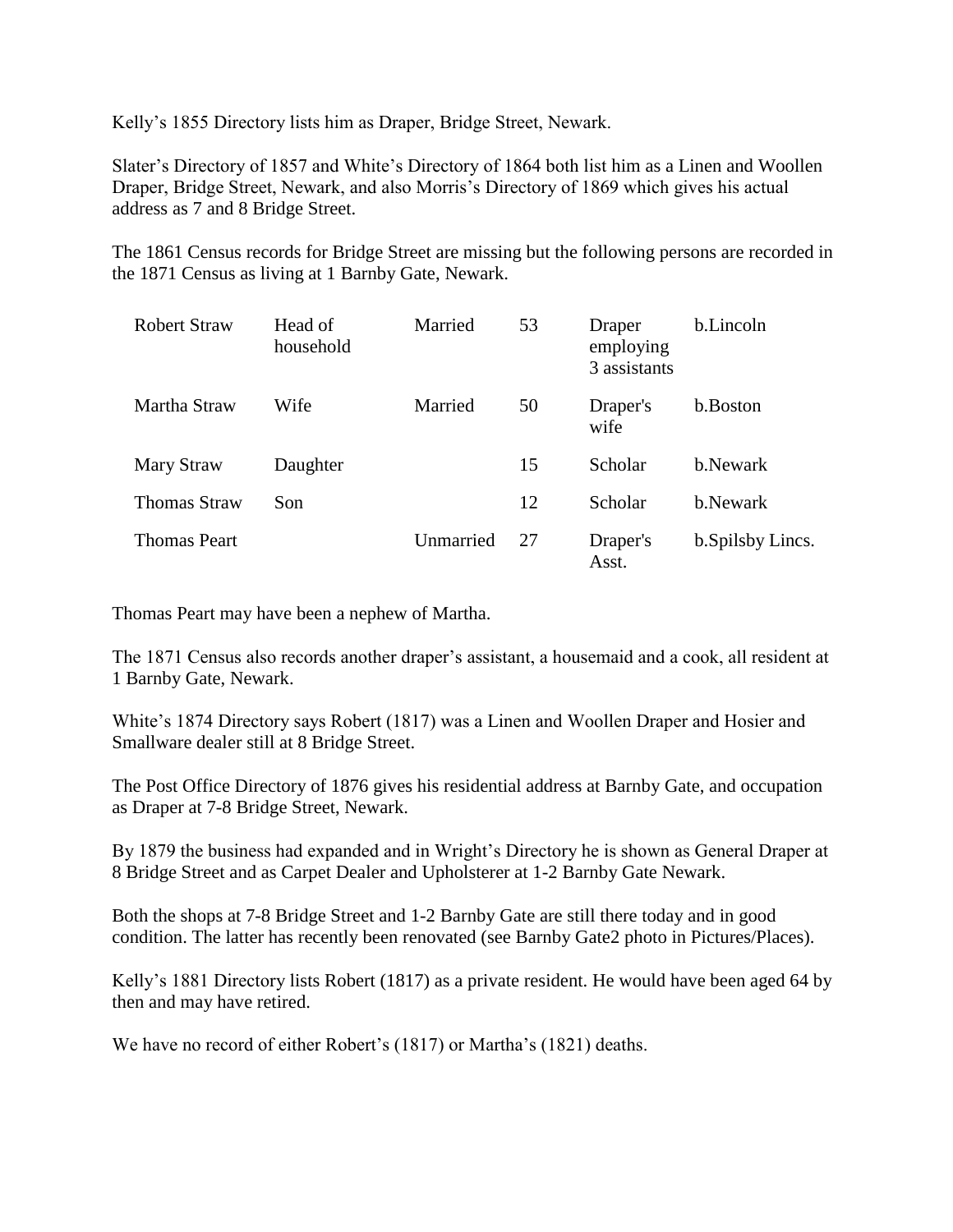Kelly's 1855 Directory lists him as Draper, Bridge Street, Newark.

Slater's Directory of 1857 and White's Directory of 1864 both list him as a Linen and Woollen Draper, Bridge Street, Newark, and also Morris's Directory of 1869 which gives his actual address as 7 and 8 Bridge Street.

The 1861 Census records for Bridge Street are missing but the following persons are recorded in the 1871 Census as living at 1 Barnby Gate, Newark.

| <b>Robert Straw</b> | Head of<br>household | Married   | 53 | Draper<br>employing<br>3 assistants | b.Lincoln         |
|---------------------|----------------------|-----------|----|-------------------------------------|-------------------|
| Martha Straw        | Wife                 | Married   | 50 | Draper's<br>wife                    | b.Boston          |
| Mary Straw          | Daughter             |           | 15 | Scholar                             | b.Newark          |
| <b>Thomas Straw</b> | Son                  |           | 12 | Scholar                             | b.Newark          |
| <b>Thomas Peart</b> |                      | Unmarried | 27 | Draper's<br>Asst.                   | b. Spilsby Lincs. |

Thomas Peart may have been a nephew of Martha.

The 1871 Census also records another draper's assistant, a housemaid and a cook, all resident at 1 Barnby Gate, Newark.

White's 1874 Directory says Robert (1817) was a Linen and Woollen Draper and Hosier and Smallware dealer still at 8 Bridge Street.

The Post Office Directory of 1876 gives his residential address at Barnby Gate, and occupation as Draper at 7-8 Bridge Street, Newark.

By 1879 the business had expanded and in Wright's Directory he is shown as General Draper at 8 Bridge Street and as Carpet Dealer and Upholsterer at 1-2 Barnby Gate Newark.

Both the shops at 7-8 Bridge Street and 1-2 Barnby Gate are still there today and in good condition. The latter has recently been renovated (see Barnby Gate2 photo in Pictures/Places).

Kelly's 1881 Directory lists Robert (1817) as a private resident. He would have been aged 64 by then and may have retired.

We have no record of either Robert's (1817) or Martha's (1821) deaths.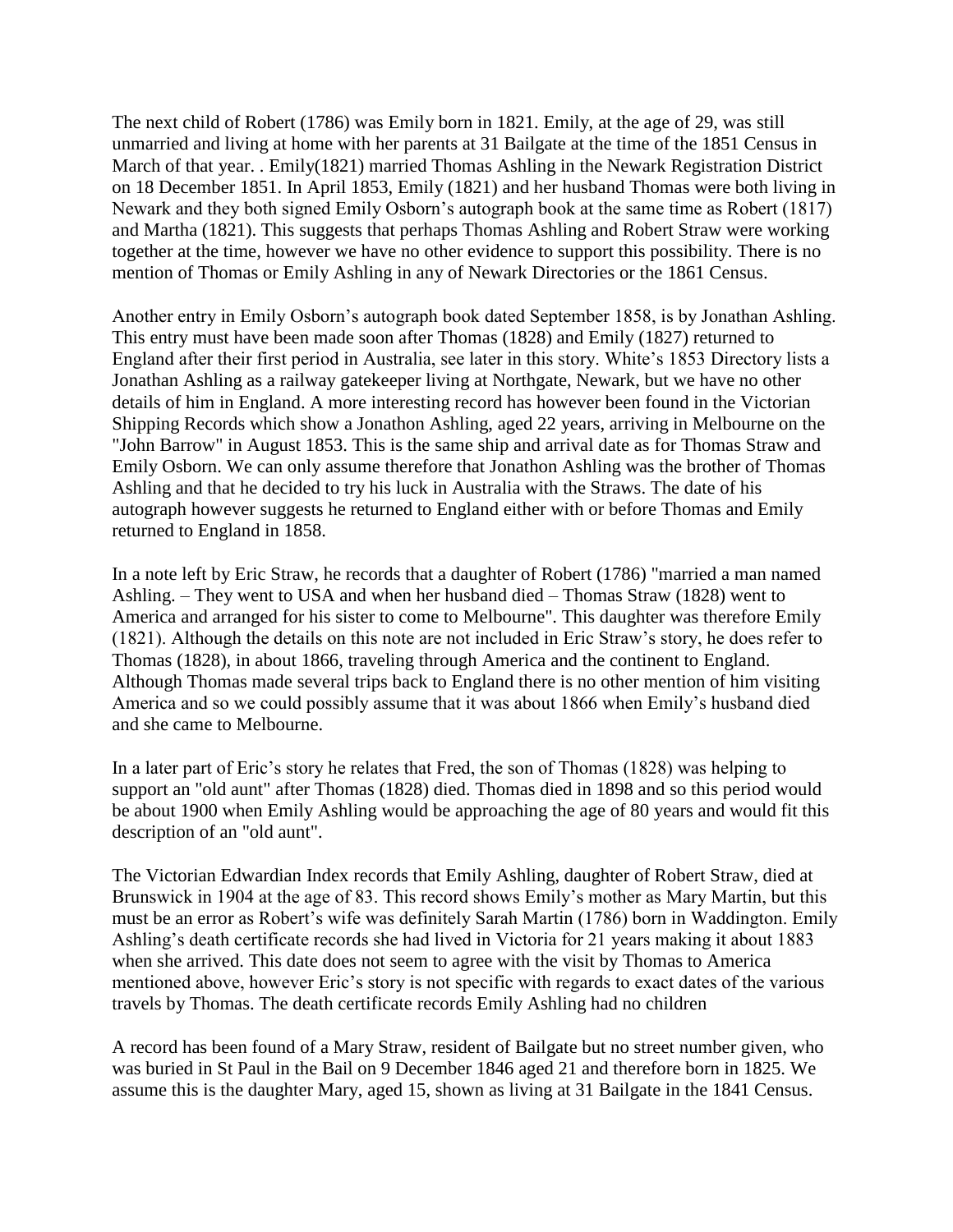The next child of Robert (1786) was Emily born in 1821. Emily, at the age of 29, was still unmarried and living at home with her parents at 31 Bailgate at the time of the 1851 Census in March of that year. . Emily(1821) married Thomas Ashling in the Newark Registration District on 18 December 1851. In April 1853, Emily (1821) and her husband Thomas were both living in Newark and they both signed Emily Osborn's autograph book at the same time as Robert (1817) and Martha (1821). This suggests that perhaps Thomas Ashling and Robert Straw were working together at the time, however we have no other evidence to support this possibility. There is no mention of Thomas or Emily Ashling in any of Newark Directories or the 1861 Census.

Another entry in Emily Osborn's autograph book dated September 1858, is by Jonathan Ashling. This entry must have been made soon after Thomas (1828) and Emily (1827) returned to England after their first period in Australia, see later in this story. White's 1853 Directory lists a Jonathan Ashling as a railway gatekeeper living at Northgate, Newark, but we have no other details of him in England. A more interesting record has however been found in the Victorian Shipping Records which show a Jonathon Ashling, aged 22 years, arriving in Melbourne on the "John Barrow" in August 1853. This is the same ship and arrival date as for Thomas Straw and Emily Osborn. We can only assume therefore that Jonathon Ashling was the brother of Thomas Ashling and that he decided to try his luck in Australia with the Straws. The date of his autograph however suggests he returned to England either with or before Thomas and Emily returned to England in 1858.

In a note left by Eric Straw, he records that a daughter of Robert (1786) "married a man named Ashling. – They went to USA and when her husband died – Thomas Straw (1828) went to America and arranged for his sister to come to Melbourne". This daughter was therefore Emily (1821). Although the details on this note are not included in Eric Straw's story, he does refer to Thomas (1828), in about 1866, traveling through America and the continent to England. Although Thomas made several trips back to England there is no other mention of him visiting America and so we could possibly assume that it was about 1866 when Emily's husband died and she came to Melbourne.

In a later part of Eric's story he relates that Fred, the son of Thomas (1828) was helping to support an "old aunt" after Thomas (1828) died. Thomas died in 1898 and so this period would be about 1900 when Emily Ashling would be approaching the age of 80 years and would fit this description of an "old aunt".

The Victorian Edwardian Index records that Emily Ashling, daughter of Robert Straw, died at Brunswick in 1904 at the age of 83. This record shows Emily's mother as Mary Martin, but this must be an error as Robert's wife was definitely Sarah Martin (1786) born in Waddington. Emily Ashling's death certificate records she had lived in Victoria for 21 years making it about 1883 when she arrived. This date does not seem to agree with the visit by Thomas to America mentioned above, however Eric's story is not specific with regards to exact dates of the various travels by Thomas. The death certificate records Emily Ashling had no children

A record has been found of a Mary Straw, resident of Bailgate but no street number given, who was buried in St Paul in the Bail on 9 December 1846 aged 21 and therefore born in 1825. We assume this is the daughter Mary, aged 15, shown as living at 31 Bailgate in the 1841 Census.